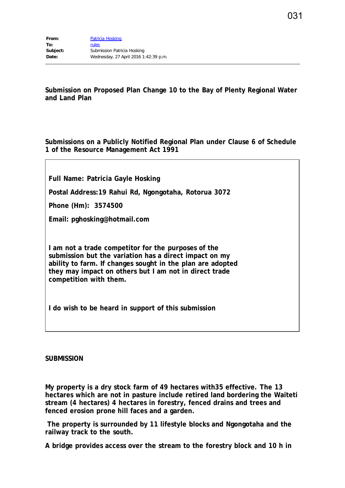**Submission on Proposed Plan Change 10 to the Bay of Plenty Regional Water and Land Plan**

**Submissions on a Publicly Notified Regional Plan under Clause 6 of Schedule 1 of the Resource Management Act 1991**

**Full Name: Patricia Gayle Hosking**

**Postal Address:19 Rahui Rd, Ngongotaha, Rotorua 3072**

**Phone (Hm): 3574500**

**Email: pghosking@hotmail.com**

**I am not a trade competitor for the purposes of the submission but the variation has a direct impact on my ability to farm. If changes sought in the plan are adopted they may impact on others but I am not in direct trade competition with them.**

**I do wish to be heard in support of this submission**

## **SUBMISSION**

**My property is a dry stock farm of 49 hectares with35 effective. The 13 hectares which are not in pasture include retired land bordering the Waiteti stream (4 hectares) 4 hectares in forestry, fenced drains and trees and fenced erosion prone hill faces and a garden.**

**The property is surrounded by 11 lifestyle blocks and Ngongotaha and the railway track to the south.**

**A bridge provides access over the stream to the forestry block and 10 h in**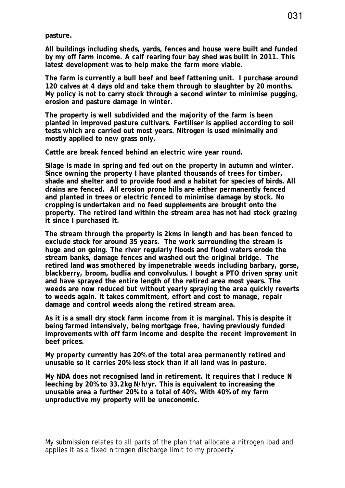**pasture.**

**All buildings including sheds, yards, fences and house were built and funded by my off farm income. A calf rearing four bay shed was built in 2011. This latest development was to help make the farm more viable.**

**The farm is currently a bull beef and beef fattening unit. I purchase around 120 calves at 4 days old and take them through to slaughter by 20 months. My policy is not to carry stock through a second winter to minimise pugging, erosion and pasture damage in winter.** 

**The property is well subdivided and the majority of the farm is been planted in improved pasture cultivars. Fertiliser is applied according to soil tests which are carried out most years. Nitrogen is used minimally and mostly applied to new grass only.**

**Cattle are break fenced behind an electric wire year round.**

**Silage is made in spring and fed out on the property in autumn and winter. Since owning the property I have planted thousands of trees for timber, shade and shelter and to provide food and a habitat for species of birds. All drains are fenced. All erosion prone hills are either permanently fenced and planted in trees or electric fenced to minimise damage by stock. No cropping is undertaken and no feed supplements are brought onto the property. The retired land within the stream area has not had stock grazing it since I purchased it.**

**The stream through the property is 2kms in length and has been fenced to exclude stock for around 35 years. The work surrounding the stream is huge and on going. The river regularly floods and flood waters erode the stream banks, damage fences and washed out the original bridge. The retired land was smothered by impenetrable weeds including barbary, gorse, blackberry, broom, budlia and convolvulus. I bought a PTO driven spray unit and have sprayed the entire length of the retired area most years. The weeds are now reduced but without yearly spraying the area quickly reverts to weeds again. It takes commitment, effort and cost to manage, repair damage and control weeds along the retired stream area.**

**As it is a small dry stock farm income from it is marginal. This is despite it being farmed intensively, being mortgage free, having previously funded improvements with off farm income and despite the recent improvement in beef prices.** 

**My property currently has 20% of the total area permanently retired and unusable so it carries 20% less stock than if all land was in pasture.**

**My NDA does not recognised land in retirement. It requires that I reduce N leeching by 20% to 33.2kg N/h/yr. This is equivalent to increasing the unusable area a further 20% to a total of 40%. With 40% of my farm unproductive my property will be uneconomic.**

My submission relates to all parts of the plan that allocate a nitrogen load and applies it as a fixed nitrogen discharge limit to my property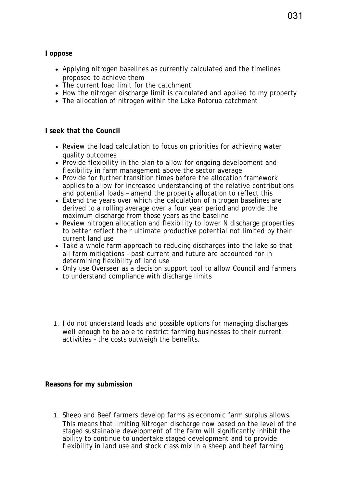**I oppose**

- Applying nitrogen baselines as currently calculated and the timelines proposed to achieve them
- The current load limit for the catchment
- How the nitrogen discharge limit is calculated and applied to my property
- The allocation of nitrogen within the Lake Rotorua catchment

## **I seek that the Council**

- Review the load calculation to focus on priorities for achieving water quality outcomes
- Provide flexibility in the plan to allow for ongoing development and flexibility in farm management above the sector average
- Provide for further transition times before the allocation framework applies to allow for increased understanding of the relative contributions and potential loads – amend the property allocation to reflect this
- Extend the years over which the calculation of nitrogen baselines are derived to a rolling average over a four year period and provide the maximum discharge from those years as the baseline
- Review nitrogen allocation and flexibility to lower N discharge properties to better reflect their ultimate productive potential not limited by their current land use
- Take a whole farm approach to reducing discharges into the lake so that all farm mitigations – past current and future are accounted for in determining flexibility of land use
- Only use Overseer as a decision support tool to allow Council and farmers to understand compliance with discharge limits
- 1. I do not understand loads and possible options for managing discharges well enough to be able to restrict farming businesses to their current activities – the costs outweigh the benefits.

## **Reasons for my submission**

1. Sheep and Beef farmers develop farms as economic farm surplus allows. This means that limiting Nitrogen discharge now based on the level of the staged sustainable development of the farm will significantly inhibit the ability to continue to undertake staged development and to provide flexibility in land use and stock class mix in a sheep and beef farming